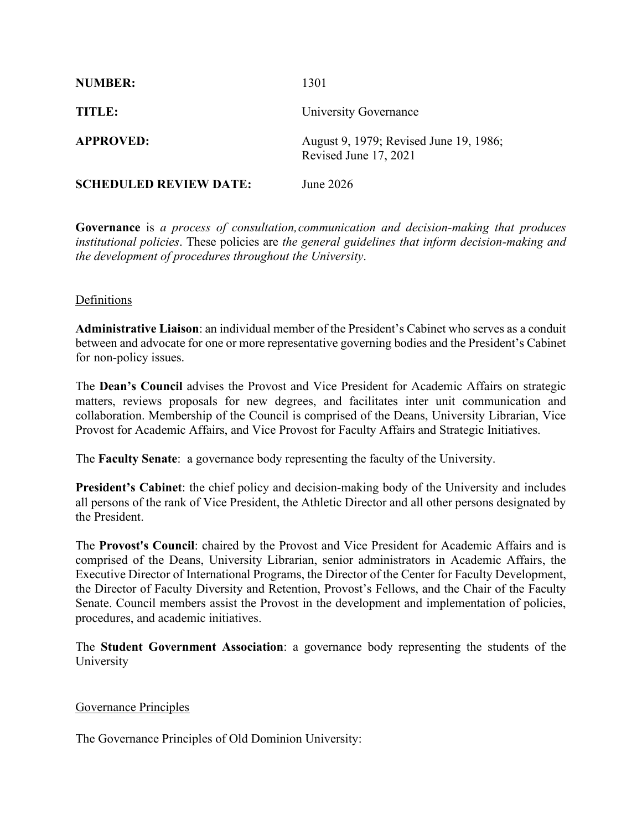| <b>NUMBER:</b>                | 1301                                                            |
|-------------------------------|-----------------------------------------------------------------|
| TITLE:                        | University Governance                                           |
| <b>APPROVED:</b>              | August 9, 1979; Revised June 19, 1986;<br>Revised June 17, 2021 |
| <b>SCHEDULED REVIEW DATE:</b> | June 2026                                                       |

**Governance** is *a process of consultation,communication and decision-making that produces institutional policies*. These policies are *the general guidelines that inform decision-making and the development of procedures throughout the University*.

## Definitions

**Administrative Liaison**: an individual member of the President's Cabinet who serves as a conduit between and advocate for one or more representative governing bodies and the President's Cabinet for non-policy issues.

The **Dean's Council** advises the Provost and Vice President for Academic Affairs on strategic matters, reviews proposals for new degrees, and facilitates inter unit communication and collaboration. Membership of the Council is comprised of the Deans, University Librarian, Vice Provost for Academic Affairs, and Vice Provost for Faculty Affairs and Strategic Initiatives.

The **Faculty Senate**: a governance body representing the faculty of the University.

**President's Cabinet**: the chief policy and decision-making body of the University and includes all persons of the rank of Vice President, the Athletic Director and all other persons designated by the President.

The **Provost's Council**: chaired by the Provost and Vice President for Academic Affairs and is comprised of the Deans, University Librarian, senior administrators in Academic Affairs, the Executive Director of International Programs, the Director of the Center for Faculty Development, the Director of Faculty Diversity and Retention, Provost's Fellows, and the Chair of the Faculty Senate. Council members assist the Provost in the development and implementation of policies, procedures, and academic initiatives.

The **Student Government Association**: a governance body representing the students of the University

## Governance Principles

The Governance Principles of Old Dominion University: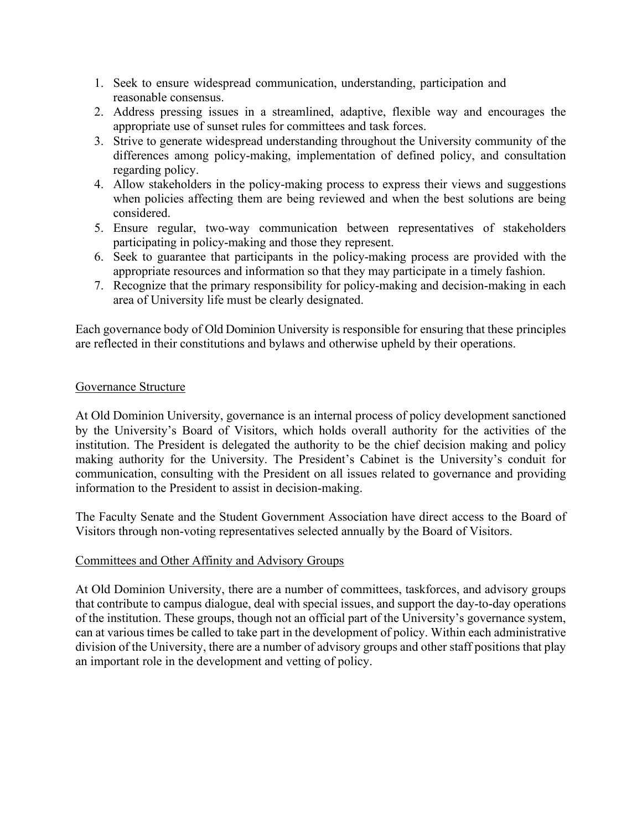- 1. Seek to ensure widespread communication, understanding, participation and reasonable consensus.
- 2. Address pressing issues in a streamlined, adaptive, flexible way and encourages the appropriate use of sunset rules for committees and task forces.
- 3. Strive to generate widespread understanding throughout the University community of the differences among policy-making, implementation of defined policy, and consultation regarding policy.
- 4. Allow stakeholders in the policy-making process to express their views and suggestions when policies affecting them are being reviewed and when the best solutions are being considered.
- 5. Ensure regular, two-way communication between representatives of stakeholders participating in policy-making and those they represent.
- 6. Seek to guarantee that participants in the policy-making process are provided with the appropriate resources and information so that they may participate in a timely fashion.
- 7. Recognize that the primary responsibility for policy-making and decision-making in each area of University life must be clearly designated.

Each governance body of Old Dominion University is responsible for ensuring that these principles are reflected in their constitutions and bylaws and otherwise upheld by their operations.

## Governance Structure

At Old Dominion University, governance is an internal process of policy development sanctioned by the University's Board of Visitors, which holds overall authority for the activities of the institution. The President is delegated the authority to be the chief decision making and policy making authority for the University. The President's Cabinet is the University's conduit for communication, consulting with the President on all issues related to governance and providing information to the President to assist in decision-making.

The Faculty Senate and the Student Government Association have direct access to the Board of Visitors through non-voting representatives selected annually by the Board of Visitors.

## Committees and Other Affinity and Advisory Groups

At Old Dominion University, there are a number of committees, taskforces, and advisory groups that contribute to campus dialogue, deal with special issues, and support the day-to-day operations of the institution. These groups, though not an official part of the University's governance system, can at various times be called to take part in the development of policy. Within each administrative division of the University, there are a number of advisory groups and other staff positions that play an important role in the development and vetting of policy.